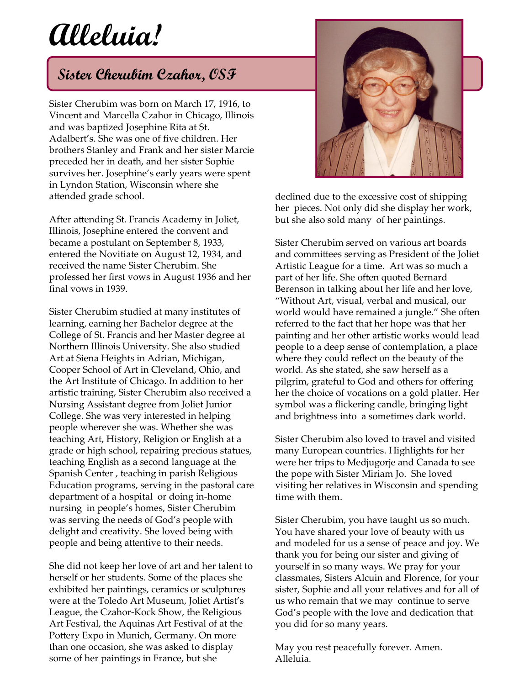## **Alleluia!**

## **Sister Cherubim Czahor, OSF**

Sister Cherubim was born on March 17, 1916, to Vincent and Marcella Czahor in Chicago, Illinois and was baptized Josephine Rita at St. Adalbert's. She was one of five children. Her brothers Stanley and Frank and her sister Marcie preceded her in death, and her sister Sophie survives her. Josephine's early years were spent in Lyndon Station, Wisconsin where she attended grade school.

After attending St. Francis Academy in Joliet, Illinois, Josephine entered the convent and became a postulant on September 8, 1933, entered the Novitiate on August 12, 1934, and received the name Sister Cherubim. She professed her first vows in August 1936 and her final vows in 1939.

Sister Cherubim studied at many institutes of learning, earning her Bachelor degree at the College of St. Francis and her Master degree at Northern Illinois University. She also studied Art at Siena Heights in Adrian, Michigan, Cooper School of Art in Cleveland, Ohio, and the Art Institute of Chicago. In addition to her artistic training, Sister Cherubim also received a Nursing Assistant degree from Joliet Junior College. She was very interested in helping people wherever she was. Whether she was teaching Art, History, Religion or English at a grade or high school, repairing precious statues, teaching English as a second language at the Spanish Center , teaching in parish Religious Education programs, serving in the pastoral care department of a hospital or doing in-home nursing in people's homes, Sister Cherubim was serving the needs of God's people with delight and creativity. She loved being with people and being attentive to their needs.

She did not keep her love of art and her talent to herself or her students. Some of the places she exhibited her paintings, ceramics or sculptures were at the Toledo Art Museum, Joliet Artist's League, the Czahor-Kock Show, the Religious Art Festival, the Aquinas Art Festival of at the Pottery Expo in Munich, Germany. On more than one occasion, she was asked to display some of her paintings in France, but she



declined due to the excessive cost of shipping her pieces. Not only did she display her work, but she also sold many of her paintings.

Sister Cherubim served on various art boards and committees serving as President of the Joliet Artistic League for a time. Art was so much a part of her life. She often quoted Bernard Berenson in talking about her life and her love, "Without Art, visual, verbal and musical, our world would have remained a jungle." She often referred to the fact that her hope was that her painting and her other artistic works would lead people to a deep sense of contemplation, a place where they could reflect on the beauty of the world. As she stated, she saw herself as a pilgrim, grateful to God and others for offering her the choice of vocations on a gold platter. Her symbol was a flickering candle, bringing light and brightness into a sometimes dark world.

Sister Cherubim also loved to travel and visited many European countries. Highlights for her were her trips to Medjugorje and Canada to see the pope with Sister Miriam Jo. She loved visiting her relatives in Wisconsin and spending time with them.

Sister Cherubim, you have taught us so much. You have shared your love of beauty with us and modeled for us a sense of peace and joy. We thank you for being our sister and giving of yourself in so many ways. We pray for your classmates, Sisters Alcuin and Florence, for your sister, Sophie and all your relatives and for all of us who remain that we may continue to serve God's people with the love and dedication that you did for so many years.

May you rest peacefully forever. Amen. Alleluia.